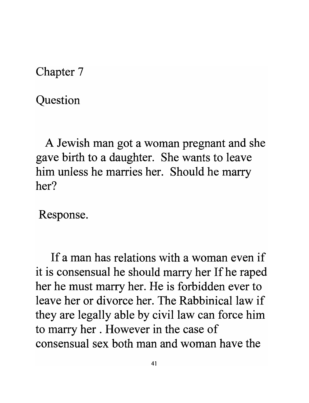Chapter 7

Question

A Jewish man got a woman pregnant and she gave birth to a daughter. She wants to leave him unless he marries her. Should he marry her?

Response.

If a man has relations with a woman even if it is consensual he should marry her If he raped her he must marry her. He is forbidden ever to leave her or divorce her. The Rabbinical law if they are legally able by civil law can force him to marry her . However in the case of consensual sex both man and woman have the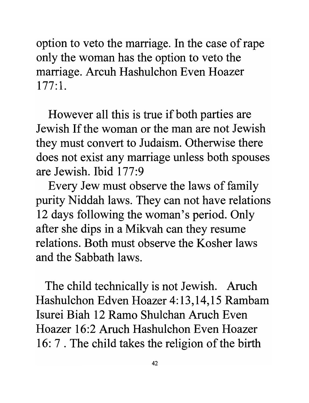option to veto the marriage. In the case of rape only the woman has the option to veto the marriage. Arcuh Hashulchon Even Hoazer  $177:1.$ 

However all this is true if both parties are Jewish If the woman or the man are not Jewish they must convert to Judaism. Otherwise there does not exist any marriage unless both spouses are Jewish. Ibid 177:9

Every Jew must observe the laws of family purity Niddah laws. They can not have relations 12 days following the woman's period. Only after she dips in a Mikvah can they resume relations. Both must observe the Kosher laws and the Sabbath laws.

The child technically is not Jewish. Aruch Hashulchon Edven Hoazer 4:13,14,15 Rambam Isurei Biah 12 Ramo Shulchan Aruch Even Hoazer 16:2 Aruch Hashulchon Even Hoazer 16: 7 . The child takes the religion of the birth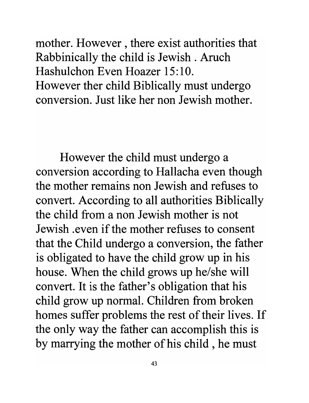mother. However, there exist authorities that Rabbinically the child is Jewish. Aruch Hashulchon Even Hoazer 15:10. However ther child Biblically must undergo conversion. Just like her non Jewish mother.

However the child must undergo a conversion according to Hallacha even though the mother remains non Jewish and refuses to convert. According to all authorities Biblically the child from a non Jewish mother is not Jewish .even if the mother refuses to consent that the Child undergo a conversion, the father is obligated to have the child grow up in his house. When the child grows up he/she will convert. It is the father's obligation that his child grow up normal. Children from broken homes suffer problems the rest of their lives. If the only way the father can accomplish this is by marrying the mother of his child , he must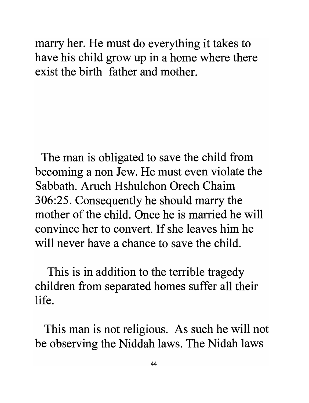marry her. He must do everything it takes to have his child grow up in a home where there exist the birth father and mother.

The man is obligated to save the child from becoming a non Jew. He must even violate the Sabbath. Aruch Hshulchon Orech Chaim 306:25. Consequently he should marry the mother of the child. Once he is married he will convince her to convert. If she leaves him he will never have a chance to save the child.

This is in addition to the terrible tragedy children from separated homes suffer all their life.

This man is not religious. As such he will not be observing the Niddah laws. The Nidah laws